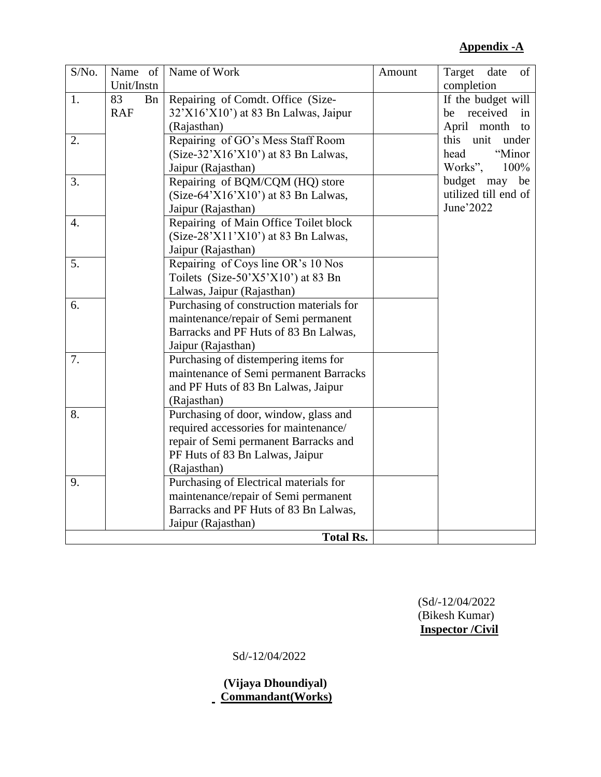### **Appendix -A**

| S/No. | Name of          | Name of Work                             | Amount | of<br>Target<br>date |
|-------|------------------|------------------------------------------|--------|----------------------|
|       | Unit/Instn       |                                          |        | completion           |
| 1.    | 83<br><b>B</b> n | Repairing of Comdt. Office (Size-        |        | If the budget will   |
|       | <b>RAF</b>       | 32'X16'X10') at 83 Bn Lalwas, Jaipur     |        | be received in       |
|       |                  | (Rajasthan)                              |        | April month to       |
| 2.    |                  | Repairing of GO's Mess Staff Room        |        | unit under<br>this   |
|       |                  | $(Size-32'X16'X10')$ at 83 Bn Lalwas,    |        | "Minor<br>head       |
|       |                  | Jaipur (Rajasthan)                       |        | Works",<br>100%      |
| 3.    |                  | Repairing of BQM/CQM (HQ) store          |        | budget may be        |
|       |                  | $(Size-64'X16'X10')$ at 83 Bn Lalwas,    |        | utilized till end of |
|       |                  | Jaipur (Rajasthan)                       |        | June'2022            |
| 4.    |                  | Repairing of Main Office Toilet block    |        |                      |
|       |                  | $(Size-28'X11'X10')$ at 83 Bn Lalwas,    |        |                      |
|       |                  | Jaipur (Rajasthan)                       |        |                      |
| 5.    |                  | Repairing of Coys line OR's 10 Nos       |        |                      |
|       |                  | Toilets $(Size-50'X5'X10')$ at 83 Bn     |        |                      |
|       |                  | Lalwas, Jaipur (Rajasthan)               |        |                      |
| 6.    |                  | Purchasing of construction materials for |        |                      |
|       |                  | maintenance/repair of Semi permanent     |        |                      |
|       |                  | Barracks and PF Huts of 83 Bn Lalwas,    |        |                      |
|       |                  | Jaipur (Rajasthan)                       |        |                      |
| 7.    |                  | Purchasing of distempering items for     |        |                      |
|       |                  | maintenance of Semi permanent Barracks   |        |                      |
|       |                  | and PF Huts of 83 Bn Lalwas, Jaipur      |        |                      |
|       |                  | (Rajasthan)                              |        |                      |
| 8.    |                  | Purchasing of door, window, glass and    |        |                      |
|       |                  | required accessories for maintenance/    |        |                      |
|       |                  | repair of Semi permanent Barracks and    |        |                      |
|       |                  | PF Huts of 83 Bn Lalwas, Jaipur          |        |                      |
|       |                  | (Rajasthan)                              |        |                      |
| 9.    |                  | Purchasing of Electrical materials for   |        |                      |
|       |                  | maintenance/repair of Semi permanent     |        |                      |
|       |                  | Barracks and PF Huts of 83 Bn Lalwas,    |        |                      |
|       |                  | Jaipur (Rajasthan)                       |        |                      |
|       |                  | <b>Total Rs.</b>                         |        |                      |

 (Sd/-12/04/2022 (Bikesh Kumar) **Inspector /Civil**

Sd/-12/04/2022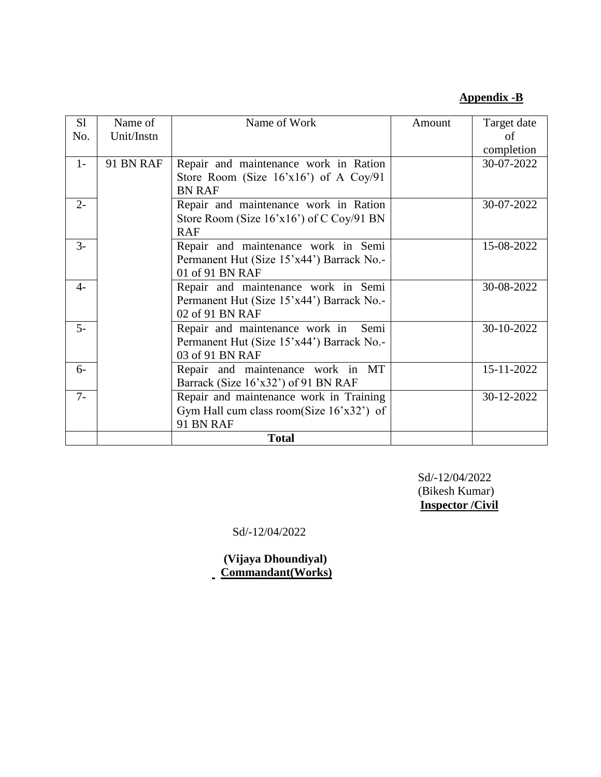#### **Appendix -B**

| S1    | Name of    | Name of Work                                | Amount | Target date |
|-------|------------|---------------------------------------------|--------|-------------|
| No.   | Unit/Instn |                                             |        | Ω£          |
|       |            |                                             |        | completion  |
| $1 -$ | 91 BN RAF  | Repair and maintenance work in Ration       |        | 30-07-2022  |
|       |            | Store Room (Size $16'x16'$ ) of A Coy/91    |        |             |
|       |            | <b>BN RAF</b>                               |        |             |
| $2 -$ |            | Repair and maintenance work in Ration       |        | 30-07-2022  |
|       |            | Store Room (Size $16'x16'$ ) of C Coy/91 BN |        |             |
|       |            | <b>RAF</b>                                  |        |             |
| $3-$  |            | Repair and maintenance work in Semi         |        | 15-08-2022  |
|       |            | Permanent Hut (Size 15'x44') Barrack No.-   |        |             |
|       |            | 01 of 91 BN RAF                             |        |             |
| $4-$  |            | Repair and maintenance work in Semi         |        | 30-08-2022  |
|       |            | Permanent Hut (Size 15'x44') Barrack No.-   |        |             |
|       |            | 02 of 91 BN RAF                             |        |             |
| $5-$  |            | Repair and maintenance work in<br>Semi      |        | 30-10-2022  |
|       |            | Permanent Hut (Size 15'x44') Barrack No.-   |        |             |
|       |            | 03 of 91 BN RAF                             |        |             |
| $6-$  |            | Repair and maintenance work in MT           |        | 15-11-2022  |
|       |            | Barrack (Size 16'x32') of 91 BN RAF         |        |             |
| $7-$  |            | Repair and maintenance work in Training     |        | 30-12-2022  |
|       |            | Gym Hall cum class room(Size $16'x32'$ ) of |        |             |
|       |            | 91 BN RAF                                   |        |             |
|       |            | <b>Total</b>                                |        |             |

 Sd/-12/04/2022 (Bikesh Kumar) **Inspector /Civil**

Sd/-12/04/2022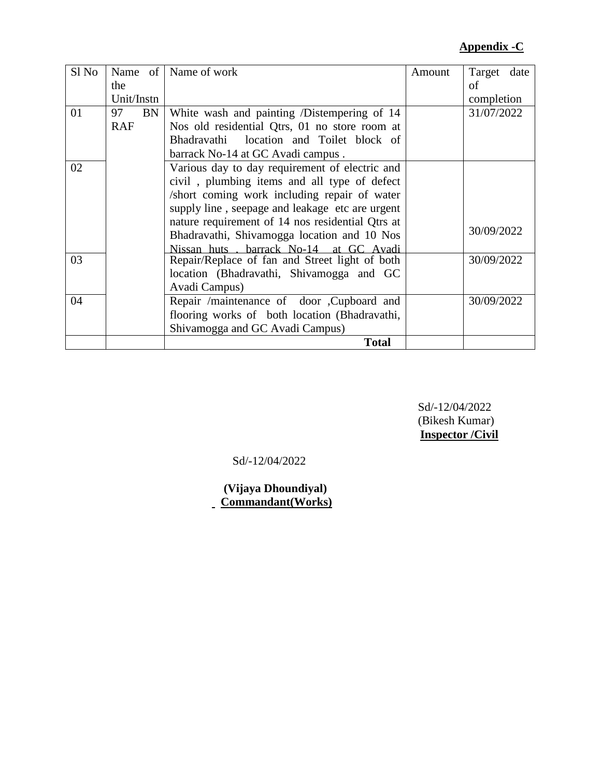#### **Appendix -C**

| Sl No |            | Name of   Name of work                           | Amount | Target<br>date |
|-------|------------|--------------------------------------------------|--------|----------------|
|       | the        |                                                  |        | of             |
|       | Unit/Instn |                                                  |        | completion     |
| 01    | BN<br>97   | White wash and painting /Distempering of 14      |        | 31/07/2022     |
|       | <b>RAF</b> | Nos old residential Qtrs, 01 no store room at    |        |                |
|       |            | Bhadravathi location and Toilet block of         |        |                |
|       |            | barrack No-14 at GC Avadi campus.                |        |                |
| 02    |            | Various day to day requirement of electric and   |        |                |
|       |            | civil, plumbing items and all type of defect     |        |                |
|       |            | /short coming work including repair of water     |        |                |
|       |            | supply line, seepage and leakage etc are urgent  |        |                |
|       |            | nature requirement of 14 nos residential Qtrs at |        |                |
|       |            | Bhadravathi, Shivamogga location and 10 Nos      |        | 30/09/2022     |
|       |            | Nissan huts . barrack No-14 at GC Avadi          |        |                |
| 03    |            | Repair/Replace of fan and Street light of both   |        | 30/09/2022     |
|       |            | location (Bhadravathi, Shivamogga and GC         |        |                |
|       |            | Avadi Campus)                                    |        |                |
| 04    |            | Repair /maintenance of door , Cupboard and       |        | 30/09/2022     |
|       |            | flooring works of both location (Bhadravathi,    |        |                |
|       |            | Shivamogga and GC Avadi Campus)                  |        |                |
|       |            | <b>Total</b>                                     |        |                |

 Sd/-12/04/2022 (Bikesh Kumar) **Inspector /Civil**

Sd/-12/04/2022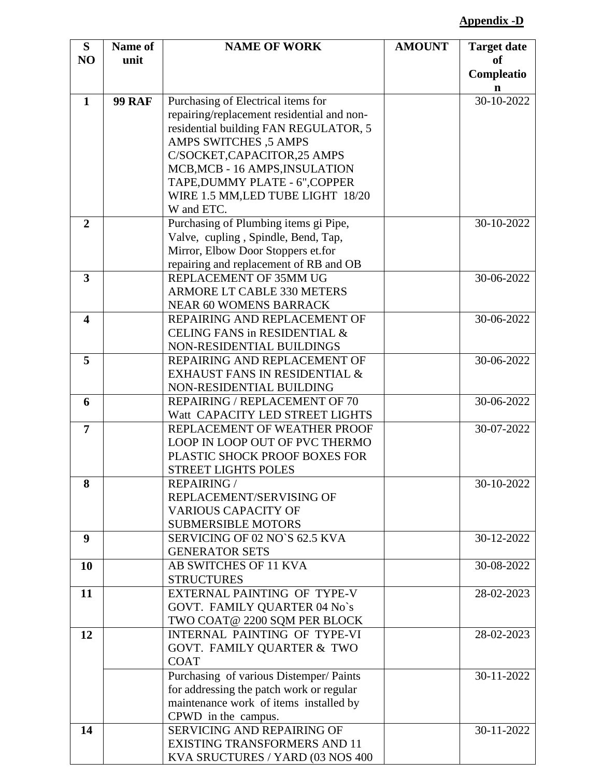### **Appendix -D**

| S                       | Name of       | <b>NAME OF WORK</b>                                                                | <b>AMOUNT</b> | <b>Target date</b> |
|-------------------------|---------------|------------------------------------------------------------------------------------|---------------|--------------------|
| NO                      | unit          |                                                                                    |               | <sub>of</sub>      |
|                         |               |                                                                                    |               | Compleatio         |
| $\mathbf{1}$            | <b>99 RAF</b> | Purchasing of Electrical items for                                                 |               | n<br>30-10-2022    |
|                         |               | repairing/replacement residential and non-                                         |               |                    |
|                         |               | residential building FAN REGULATOR, 5                                              |               |                    |
|                         |               | <b>AMPS SWITCHES ,5 AMPS</b>                                                       |               |                    |
|                         |               | C/SOCKET, CAPACITOR, 25 AMPS                                                       |               |                    |
|                         |               | MCB, MCB - 16 AMPS, INSULATION                                                     |               |                    |
|                         |               | TAPE, DUMMY PLATE - 6", COPPER                                                     |               |                    |
|                         |               | WIRE 1.5 MM, LED TUBE LIGHT 18/20                                                  |               |                    |
|                         |               | W and ETC.                                                                         |               |                    |
| $\overline{2}$          |               | Purchasing of Plumbing items gi Pipe,                                              |               | 30-10-2022         |
|                         |               | Valve, cupling, Spindle, Bend, Tap,                                                |               |                    |
|                         |               | Mirror, Elbow Door Stoppers et.for<br>repairing and replacement of RB and OB       |               |                    |
| $\overline{\mathbf{3}}$ |               | REPLACEMENT OF 35MM UG                                                             |               | 30-06-2022         |
|                         |               | ARMORE LT CABLE 330 METERS                                                         |               |                    |
|                         |               | <b>NEAR 60 WOMENS BARRACK</b>                                                      |               |                    |
| $\overline{\mathbf{4}}$ |               | REPAIRING AND REPLACEMENT OF                                                       |               | 30-06-2022         |
|                         |               | CELING FANS in RESIDENTIAL &                                                       |               |                    |
|                         |               | NON-RESIDENTIAL BUILDINGS                                                          |               |                    |
| 5                       |               | REPAIRING AND REPLACEMENT OF                                                       |               | 30-06-2022         |
|                         |               | EXHAUST FANS IN RESIDENTIAL $\&$                                                   |               |                    |
|                         |               | NON-RESIDENTIAL BUILDING                                                           |               |                    |
| 6                       |               | REPAIRING / REPLACEMENT OF 70                                                      |               | 30-06-2022         |
|                         |               | Watt CAPACITY LED STREET LIGHTS                                                    |               |                    |
| $\overline{7}$          |               | REPLACEMENT OF WEATHER PROOF                                                       |               | 30-07-2022         |
|                         |               | LOOP IN LOOP OUT OF PVC THERMO                                                     |               |                    |
|                         |               | PLASTIC SHOCK PROOF BOXES FOR                                                      |               |                    |
| 8                       |               | <b>STREET LIGHTS POLES</b><br><b>REPAIRING/</b>                                    |               | 30-10-2022         |
|                         |               | REPLACEMENT/SERVISING OF                                                           |               |                    |
|                         |               | <b>VARIOUS CAPACITY OF</b>                                                         |               |                    |
|                         |               | <b>SUBMERSIBLE MOTORS</b>                                                          |               |                    |
| 9                       |               | SERVICING OF 02 NO'S 62.5 KVA                                                      |               | 30-12-2022         |
|                         |               | <b>GENERATOR SETS</b>                                                              |               |                    |
| 10                      |               | AB SWITCHES OF 11 KVA                                                              |               | 30-08-2022         |
|                         |               | <b>STRUCTURES</b>                                                                  |               |                    |
| 11                      |               | EXTERNAL PAINTING OF TYPE-V                                                        |               | 28-02-2023         |
|                         |               | GOVT. FAMILY QUARTER 04 No's                                                       |               |                    |
|                         |               | TWO COAT@ 2200 SQM PER BLOCK                                                       |               |                    |
| 12                      |               | <b>INTERNAL PAINTING OF TYPE-VI</b>                                                |               | 28-02-2023         |
|                         |               | GOVT. FAMILY QUARTER & TWO                                                         |               |                    |
|                         |               | <b>COAT</b>                                                                        |               | 30-11-2022         |
|                         |               | Purchasing of various Distemper/ Paints                                            |               |                    |
|                         |               | for addressing the patch work or regular<br>maintenance work of items installed by |               |                    |
|                         |               | CPWD in the campus.                                                                |               |                    |
| 14                      |               | SERVICING AND REPAIRING OF                                                         |               | 30-11-2022         |
|                         |               | <b>EXISTING TRANSFORMERS AND 11</b>                                                |               |                    |
|                         |               | KVA SRUCTURES / YARD (03 NOS 400                                                   |               |                    |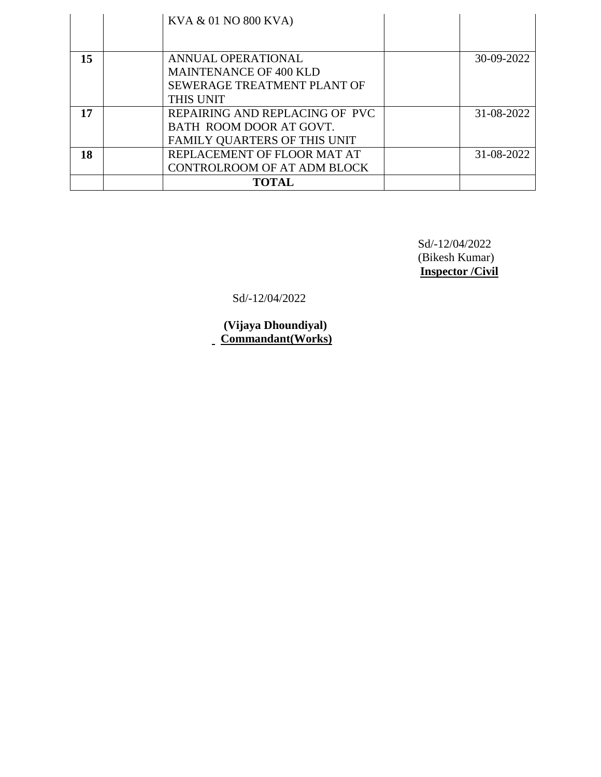|    | KVA & 01 NO 800 KVA)               |            |
|----|------------------------------------|------------|
|    |                                    |            |
| 15 | ANNUAL OPERATIONAL                 | 30-09-2022 |
|    | <b>MAINTENANCE OF 400 KLD</b>      |            |
|    | SEWERAGE TREATMENT PLANT OF        |            |
|    | THIS UNIT                          |            |
| 17 | REPAIRING AND REPLACING OF PVC     | 31-08-2022 |
|    | BATH ROOM DOOR AT GOVT.            |            |
|    | FAMILY QUARTERS OF THIS UNIT       |            |
| 18 | REPLACEMENT OF FLOOR MAT AT        | 31-08-2022 |
|    | <b>CONTROLROOM OF AT ADM BLOCK</b> |            |
|    | <b>TOTAL</b>                       |            |

Sd/-12/04/2022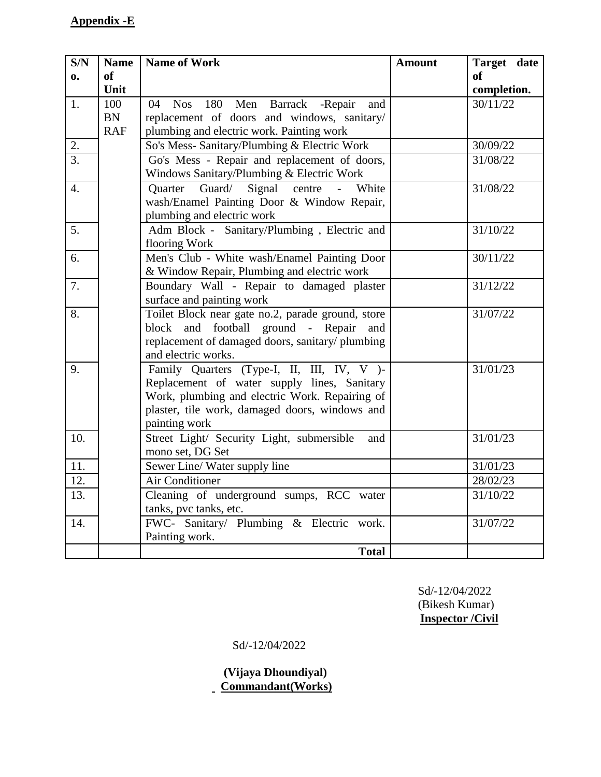# **Appendix -E**

| S/N              | <b>Name</b> | <b>Name of Work</b>                                                    | <b>Amount</b> | Target date |
|------------------|-------------|------------------------------------------------------------------------|---------------|-------------|
| $\mathbf{0}$     | of          |                                                                        |               | of          |
|                  | Unit        |                                                                        |               | completion. |
| 1.               | 100         | Men Barrack<br>180<br>-Repair<br>04<br><b>Nos</b><br>and               |               | 30/11/22    |
|                  | <b>BN</b>   | replacement of doors and windows, sanitary/                            |               |             |
|                  | <b>RAF</b>  | plumbing and electric work. Painting work                              |               |             |
| 2.               |             | So's Mess- Sanitary/Plumbing & Electric Work                           |               | 30/09/22    |
| $\overline{3}$ . |             | Go's Mess - Repair and replacement of doors,                           |               | 31/08/22    |
|                  |             | Windows Sanitary/Plumbing & Electric Work                              |               |             |
| $\overline{4}$ . |             | Signal<br>Guard/<br>Quarter<br>centre<br>White<br>$\overline{a}$       |               | 31/08/22    |
|                  |             | wash/Enamel Painting Door & Window Repair,                             |               |             |
|                  |             | plumbing and electric work                                             |               |             |
| 5 <sub>1</sub>   |             | Adm Block - Sanitary/Plumbing, Electric and                            |               | 31/10/22    |
|                  |             | flooring Work                                                          |               |             |
| 6.               |             | Men's Club - White wash/Enamel Painting Door                           |               | 30/11/22    |
|                  |             | & Window Repair, Plumbing and electric work                            |               |             |
| 7.               |             | Boundary Wall - Repair to damaged plaster                              |               | 31/12/22    |
|                  |             | surface and painting work                                              |               |             |
| 8.               |             | Toilet Block near gate no.2, parade ground, store                      |               | 31/07/22    |
|                  |             | block and football ground - Repair and                                 |               |             |
|                  |             | replacement of damaged doors, sanitary/plumbing<br>and electric works. |               |             |
| 9.               |             | Family Quarters (Type-I, II, III, IV, V )-                             |               | 31/01/23    |
|                  |             | Replacement of water supply lines, Sanitary                            |               |             |
|                  |             | Work, plumbing and electric Work. Repairing of                         |               |             |
|                  |             | plaster, tile work, damaged doors, windows and                         |               |             |
|                  |             | painting work                                                          |               |             |
| 10.              |             | Street Light/ Security Light, submersible<br>and                       |               | 31/01/23    |
|                  |             | mono set, DG Set                                                       |               |             |
| 11.              |             | Sewer Line/ Water supply line                                          |               | 31/01/23    |
| 12.              |             | Air Conditioner                                                        |               | 28/02/23    |
| 13.              |             | Cleaning of underground sumps, RCC water                               |               | 31/10/22    |
|                  |             | tanks, pvc tanks, etc.                                                 |               |             |
| 14.              |             | FWC- Sanitary/ Plumbing & Electric work.                               |               | 31/07/22    |
|                  |             | Painting work.                                                         |               |             |
|                  |             | <b>Total</b>                                                           |               |             |

 Sd/-12/04/2022 (Bikesh Kumar) **Inspector /Civil**

Sd/-12/04/2022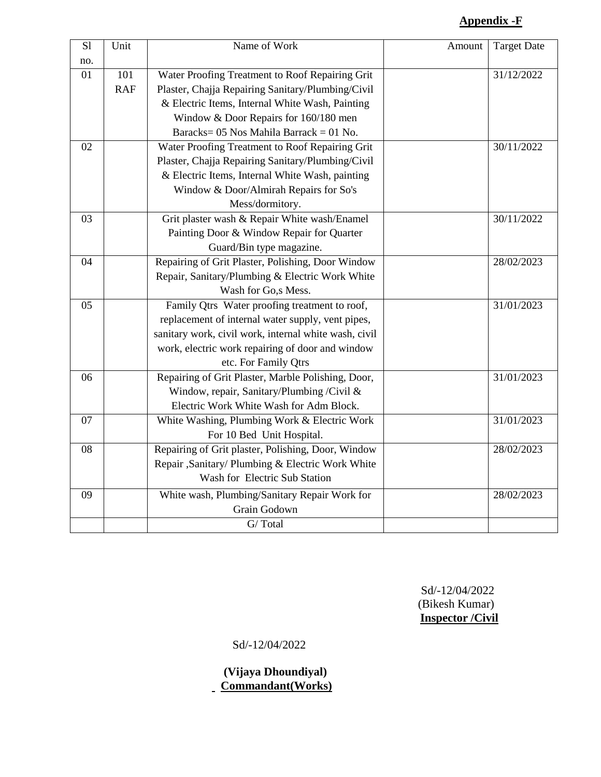# **Appendix -F**

| S1  | Unit       | Name of Work                                          | Amount | <b>Target Date</b> |
|-----|------------|-------------------------------------------------------|--------|--------------------|
| no. |            |                                                       |        |                    |
| 01  | 101        | Water Proofing Treatment to Roof Repairing Grit       |        | 31/12/2022         |
|     | <b>RAF</b> | Plaster, Chajja Repairing Sanitary/Plumbing/Civil     |        |                    |
|     |            | & Electric Items, Internal White Wash, Painting       |        |                    |
|     |            | Window & Door Repairs for 160/180 men                 |        |                    |
|     |            | Baracks= $05$ Nos Mahila Barrack = $01$ No.           |        |                    |
| 02  |            | Water Proofing Treatment to Roof Repairing Grit       |        | 30/11/2022         |
|     |            | Plaster, Chajja Repairing Sanitary/Plumbing/Civil     |        |                    |
|     |            | & Electric Items, Internal White Wash, painting       |        |                    |
|     |            | Window & Door/Almirah Repairs for So's                |        |                    |
|     |            | Mess/dormitory.                                       |        |                    |
| 03  |            | Grit plaster wash & Repair White wash/Enamel          |        | 30/11/2022         |
|     |            | Painting Door & Window Repair for Quarter             |        |                    |
|     |            | Guard/Bin type magazine.                              |        |                    |
| 04  |            | Repairing of Grit Plaster, Polishing, Door Window     |        | 28/02/2023         |
|     |            | Repair, Sanitary/Plumbing & Electric Work White       |        |                    |
|     |            | Wash for Go,s Mess.                                   |        |                    |
| 05  |            | Family Qtrs Water proofing treatment to roof,         |        | 31/01/2023         |
|     |            | replacement of internal water supply, vent pipes,     |        |                    |
|     |            | sanitary work, civil work, internal white wash, civil |        |                    |
|     |            | work, electric work repairing of door and window      |        |                    |
|     |            | etc. For Family Qtrs                                  |        |                    |
| 06  |            | Repairing of Grit Plaster, Marble Polishing, Door,    |        | 31/01/2023         |
|     |            | Window, repair, Sanitary/Plumbing /Civil &            |        |                    |
|     |            | Electric Work White Wash for Adm Block.               |        |                    |
| 07  |            | White Washing, Plumbing Work & Electric Work          |        | 31/01/2023         |
|     |            | For 10 Bed Unit Hospital.                             |        |                    |
| 08  |            | Repairing of Grit plaster, Polishing, Door, Window    |        | 28/02/2023         |
|     |            | Repair ,Sanitary/ Plumbing & Electric Work White      |        |                    |
|     |            | Wash for Electric Sub Station                         |        |                    |
| 09  |            | White wash, Plumbing/Sanitary Repair Work for         |        | 28/02/2023         |
|     |            | Grain Godown                                          |        |                    |
|     |            | G/Total                                               |        |                    |

 Sd/-12/04/2022 (Bikesh Kumar) **Inspector /Civil**

Sd/-12/04/2022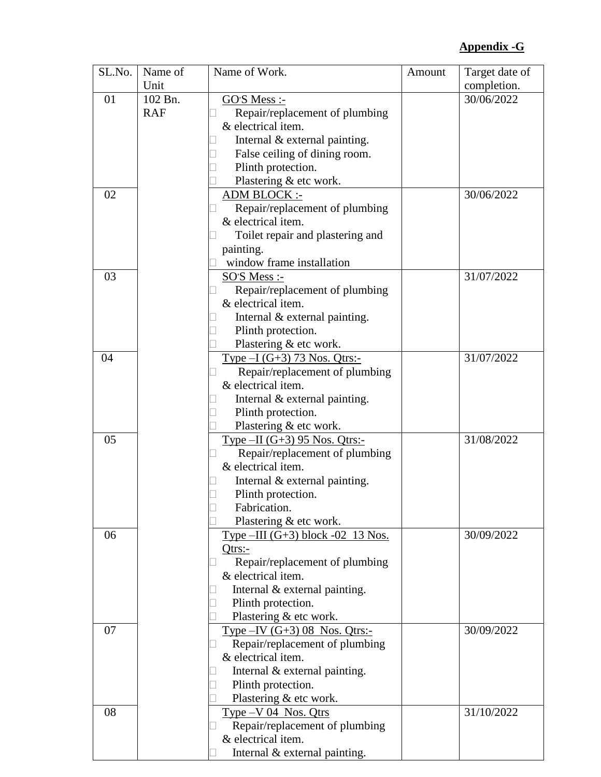### **Appendix -G**

| SL.No. | Name of    | Name of Work.                                              | Amount | Target date of |
|--------|------------|------------------------------------------------------------|--------|----------------|
|        | Unit       |                                                            |        | completion.    |
| 01     | 102 Bn.    | <u>GO'S Mess :-</u>                                        |        | 30/06/2022     |
|        | <b>RAF</b> | Repair/replacement of plumbing                             |        |                |
|        |            | & electrical item.                                         |        |                |
|        |            | Internal & external painting.                              |        |                |
|        |            | False ceiling of dining room.                              |        |                |
|        |            | Plinth protection.                                         |        |                |
|        |            | Plastering & etc work.                                     |        |                |
| 02     |            | <b>ADM BLOCK:-</b>                                         |        | 30/06/2022     |
|        |            | Repair/replacement of plumbing                             |        |                |
|        |            | & electrical item.                                         |        |                |
|        |            | Toilet repair and plastering and                           |        |                |
|        |            | painting.                                                  |        |                |
|        |            | window frame installation                                  |        |                |
| 03     |            | SO'S Mess :-                                               |        | 31/07/2022     |
|        |            | Repair/replacement of plumbing                             |        |                |
|        |            | & electrical item.                                         |        |                |
|        |            | Internal & external painting.                              |        |                |
|        |            | Plinth protection.                                         |        |                |
|        |            | Plastering & etc work.                                     |        |                |
| 04     |            |                                                            |        | 31/07/2022     |
|        |            | Type $-I (G+3) 73$ Nos. Qtrs:-                             |        |                |
|        |            | Repair/replacement of plumbing                             |        |                |
|        |            | & electrical item.                                         |        |                |
|        |            | Internal & external painting.                              |        |                |
|        |            | Plinth protection.                                         |        |                |
|        |            | Plastering & etc work.                                     |        |                |
| 05     |            | Type $-II$ (G+3) 95 Nos. Qtrs:-                            |        | 31/08/2022     |
|        |            | Repair/replacement of plumbing                             |        |                |
|        |            | & electrical item.                                         |        |                |
|        |            | Internal & external painting.                              |        |                |
|        |            | Plinth protection.                                         |        |                |
|        |            | Fabrication.                                               |        |                |
|        |            | Plastering & etc work.                                     |        |                |
| 06     |            | Type $-HI$ (G+3) block -02 13 Nos.                         |        | 30/09/2022     |
|        |            | $Q$ trs:-                                                  |        |                |
|        |            | Repair/replacement of plumbing                             |        |                |
|        |            | & electrical item.                                         |        |                |
|        |            | Internal $&$ external painting.                            |        |                |
|        |            | Plinth protection.                                         |        |                |
|        |            | Plastering & etc work.                                     |        |                |
| 07     |            | Type $-IV$ (G+3) 08 Nos. Qtrs:-                            |        | 30/09/2022     |
|        |            | Repair/replacement of plumbing<br>$\overline{\phantom{a}}$ |        |                |
|        |            | & electrical item.                                         |        |                |
|        |            | Internal & external painting.                              |        |                |
|        |            | Plinth protection.                                         |        |                |
|        |            | Plastering & etc work.                                     |        |                |
| 08     |            | $Type -V 04$ Nos. Qtrs                                     |        | 31/10/2022     |
|        |            | Repair/replacement of plumbing                             |        |                |
|        |            | & electrical item.                                         |        |                |
|        |            | Internal & external painting.                              |        |                |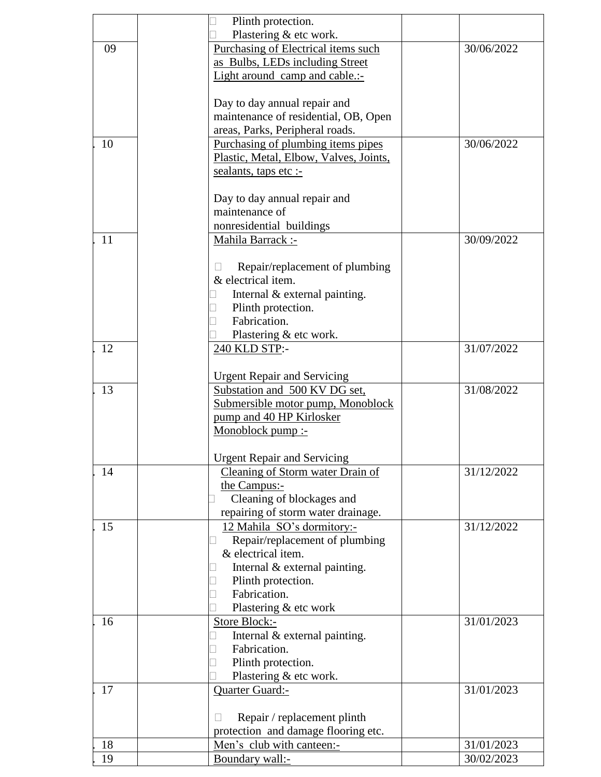|    | Plinth protection.                                                 |            |
|----|--------------------------------------------------------------------|------------|
|    | Plastering & etc work.                                             |            |
| 09 | Purchasing of Electrical items such                                | 30/06/2022 |
|    | as Bulbs, LEDs including Street                                    |            |
|    |                                                                    |            |
|    | Light around camp and cable.:-                                     |            |
|    | Day to day annual repair and                                       |            |
|    | maintenance of residential, OB, Open                               |            |
|    |                                                                    |            |
|    | areas, Parks, Peripheral roads.                                    |            |
| 10 | Purchasing of plumbing items pipes                                 | 30/06/2022 |
|    | Plastic, Metal, Elbow, Valves, Joints,                             |            |
|    | sealants, taps etc :-                                              |            |
|    | Day to day annual repair and                                       |            |
|    | maintenance of                                                     |            |
|    |                                                                    |            |
|    | nonresidential buildings                                           |            |
| 11 | Mahila Barrack :-                                                  | 30/09/2022 |
|    | Repair/replacement of plumbing                                     |            |
|    | & electrical item.                                                 |            |
|    | Internal & external painting.                                      |            |
|    | Plinth protection.                                                 |            |
|    | Fabrication.                                                       |            |
|    |                                                                    |            |
|    | Plastering & etc work.                                             |            |
| 12 | 240 KLD STP:-                                                      | 31/07/2022 |
|    | <b>Urgent Repair and Servicing</b>                                 |            |
| 13 | Substation and 500 KV DG set,                                      | 31/08/2022 |
|    | Submersible motor pump, Monoblock                                  |            |
|    |                                                                    |            |
|    | pump and 40 HP Kirlosker                                           |            |
|    | Monoblock pump :-                                                  |            |
|    | <b>Urgent Repair and Servicing</b>                                 |            |
| 14 | Cleaning of Storm water Drain of                                   | 31/12/2022 |
|    | the Campus:-                                                       |            |
|    | Cleaning of blockages and                                          |            |
|    | repairing of storm water drainage.                                 |            |
| 15 | 12 Mahila SO's dormitory:-                                         | 31/12/2022 |
|    | Repair/replacement of plumbing                                     |            |
|    | & electrical item.                                                 |            |
|    | Internal & external painting.                                      |            |
|    |                                                                    |            |
|    | Plinth protection.<br>Fabrication.                                 |            |
|    |                                                                    |            |
|    | Plastering & etc work                                              |            |
| 16 | <b>Store Block:-</b>                                               | 31/01/2023 |
|    | Internal & external painting.                                      |            |
|    | Fabrication.                                                       |            |
|    | Plinth protection.                                                 |            |
|    | Plastering & etc work.                                             |            |
| 17 | Quarter Guard:-                                                    | 31/01/2023 |
|    |                                                                    |            |
|    | Repair / replacement plinth<br>protection and damage flooring etc. |            |
| 18 | Men's club with canteen:-                                          | 31/01/2023 |
| 19 | Boundary wall:-                                                    | 30/02/2023 |
|    |                                                                    |            |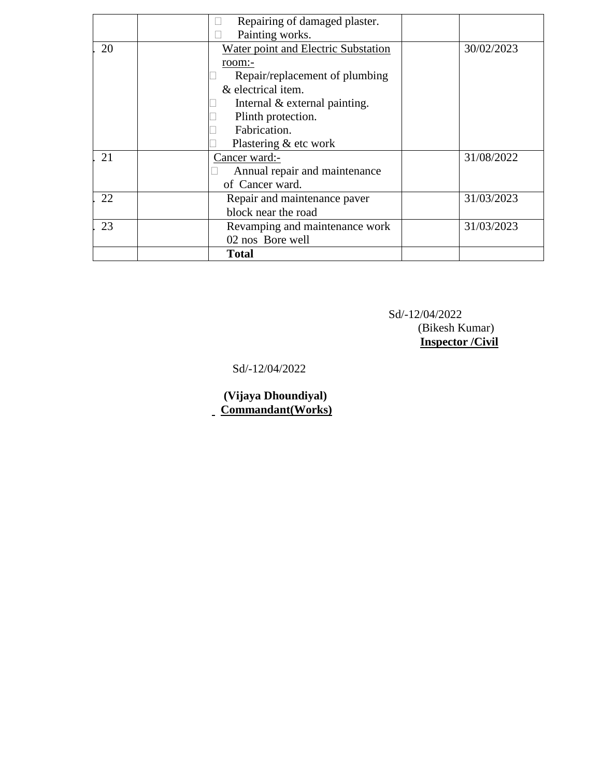|    | Repairing of damaged plaster.       |            |
|----|-------------------------------------|------------|
|    | Painting works.                     |            |
| 20 | Water point and Electric Substation | 30/02/2023 |
|    | $room$ :-                           |            |
|    | Repair/replacement of plumbing      |            |
|    | & electrical item.                  |            |
|    | Internal & external painting.       |            |
|    | Plinth protection.                  |            |
|    | Fabrication.                        |            |
|    | Plastering & etc work               |            |
| 21 | Cancer ward:-                       | 31/08/2022 |
|    | Annual repair and maintenance       |            |
|    | of Cancer ward.                     |            |
| 22 | Repair and maintenance paver        | 31/03/2023 |
|    | block near the road                 |            |
| 23 | Revamping and maintenance work      | 31/03/2023 |
|    | 02 nos Bore well                    |            |
|    | <b>Total</b>                        |            |

Sd/-12/04/2022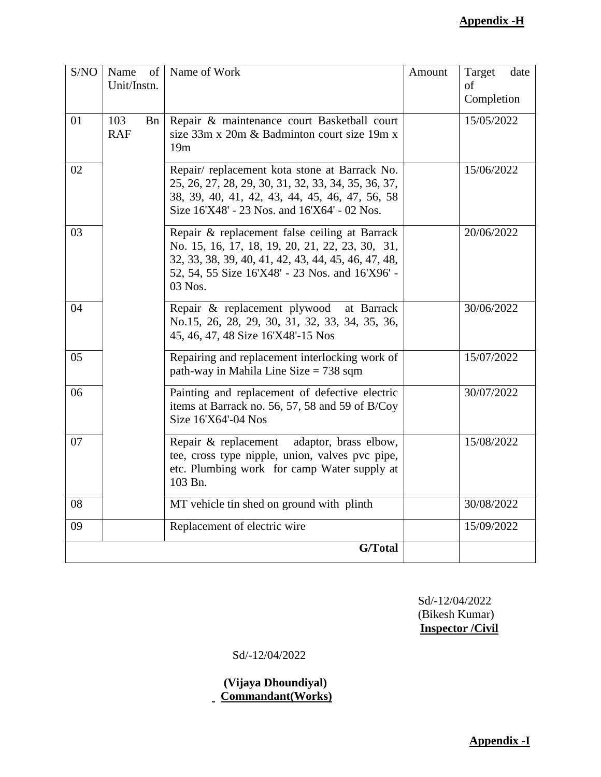#### **Appendix -H**

| S/NO | Name<br>of<br>Unit/Instn.       | Name of Work                                                                                                                                                                                                          | Amount | Target<br>date<br>of<br>Completion |
|------|---------------------------------|-----------------------------------------------------------------------------------------------------------------------------------------------------------------------------------------------------------------------|--------|------------------------------------|
| 01   | 103<br><b>B</b> n<br><b>RAF</b> | Repair & maintenance court Basketball court<br>size 33m x 20m & Badminton court size 19m x<br>19m                                                                                                                     |        | 15/05/2022                         |
| 02   |                                 | Repair/replacement kota stone at Barrack No.<br>25, 26, 27, 28, 29, 30, 31, 32, 33, 34, 35, 36, 37,<br>38, 39, 40, 41, 42, 43, 44, 45, 46, 47, 56, 58<br>Size 16'X48' - 23 Nos. and 16'X64' - 02 Nos.                 |        | 15/06/2022                         |
| 03   |                                 | Repair & replacement false ceiling at Barrack<br>No. 15, 16, 17, 18, 19, 20, 21, 22, 23, 30, 31,<br>32, 33, 38, 39, 40, 41, 42, 43, 44, 45, 46, 47, 48,<br>52, 54, 55 Size 16'X48' - 23 Nos. and 16'X96' -<br>03 Nos. |        | 20/06/2022                         |
| 04   |                                 | Repair & replacement plywood at Barrack<br>No.15, 26, 28, 29, 30, 31, 32, 33, 34, 35, 36,<br>45, 46, 47, 48 Size 16'X48'-15 Nos                                                                                       |        | 30/06/2022                         |
| 05   |                                 | Repairing and replacement interlocking work of<br>path-way in Mahila Line Size $= 738$ sqm                                                                                                                            |        | 15/07/2022                         |
| 06   |                                 | Painting and replacement of defective electric<br>items at Barrack no. 56, 57, 58 and 59 of B/Coy<br>Size 16'X64'-04 Nos                                                                                              |        | 30/07/2022                         |
| 07   |                                 | Repair & replacement adaptor, brass elbow,<br>tee, cross type nipple, union, valves pvc pipe,<br>etc. Plumbing work for camp Water supply at<br>103 Bn.                                                               |        | 15/08/2022                         |
| 08   |                                 | MT vehicle tin shed on ground with plinth                                                                                                                                                                             |        | 30/08/2022                         |
| 09   |                                 | Replacement of electric wire                                                                                                                                                                                          |        | 15/09/2022                         |
|      |                                 | G/Total                                                                                                                                                                                                               |        |                                    |

 Sd/-12/04/2022 (Bikesh Kumar) **Inspector /Civil**

Sd/-12/04/2022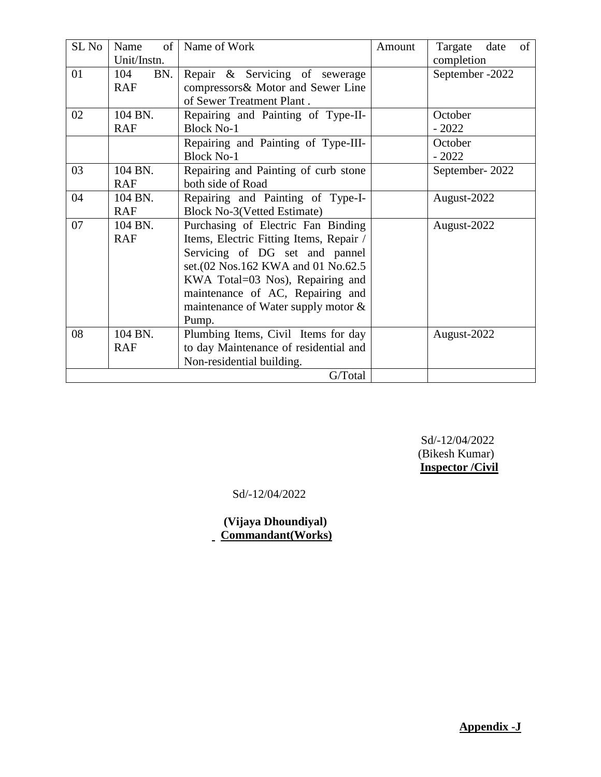| $SL$ No | Name<br>$\sigma$ f | Name of Work                            | Amount | Targate<br>of<br>date |
|---------|--------------------|-----------------------------------------|--------|-----------------------|
|         | Unit/Instn.        |                                         |        | completion            |
| 01      | 104<br>BN.         | Repair & Servicing of sewerage          |        | September - 2022      |
|         | <b>RAF</b>         | compressors& Motor and Sewer Line       |        |                       |
|         |                    | of Sewer Treatment Plant.               |        |                       |
| 02      | 104 BN.            | Repairing and Painting of Type-II-      |        | October               |
|         | <b>RAF</b>         | <b>Block No-1</b>                       |        | $-2022$               |
|         |                    | Repairing and Painting of Type-III-     |        | October               |
|         |                    | <b>Block No-1</b>                       |        | $-2022$               |
| 03      | 104 BN.            | Repairing and Painting of curb stone    |        | September-2022        |
|         | <b>RAF</b>         | both side of Road                       |        |                       |
| 04      | 104 BN.            | Repairing and Painting of Type-I-       |        | August-2022           |
|         | <b>RAF</b>         | <b>Block No-3(Vetted Estimate)</b>      |        |                       |
| 07      | 104 BN.            | Purchasing of Electric Fan Binding      |        | August-2022           |
|         | <b>RAF</b>         | Items, Electric Fitting Items, Repair / |        |                       |
|         |                    | Servicing of DG set and pannel          |        |                       |
|         |                    | set. (02 Nos. 162 KWA and 01 No. 62.5   |        |                       |
|         |                    | KWA Total=03 Nos), Repairing and        |        |                       |
|         |                    | maintenance of AC, Repairing and        |        |                       |
|         |                    | maintenance of Water supply motor &     |        |                       |
|         |                    | Pump.                                   |        |                       |
| 08      | 104 BN.            | Plumbing Items, Civil Items for day     |        | August-2022           |
|         | <b>RAF</b>         | to day Maintenance of residential and   |        |                       |
|         |                    | Non-residential building.               |        |                       |
|         |                    | G/Total                                 |        |                       |

Sd/-12/04/2022

 **(Vijaya Dhoundiyal) Commandant(Works)**

**Appendix -J**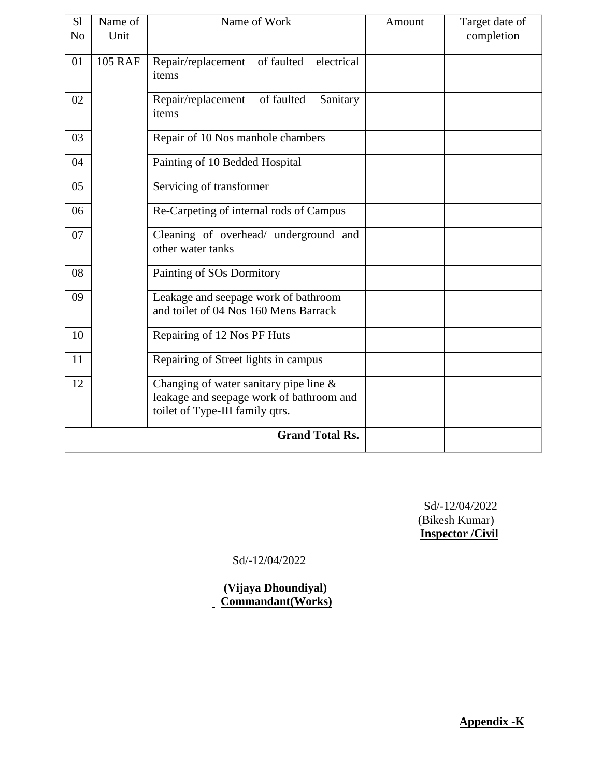| S <sub>1</sub><br>N <sub>o</sub> | Name of<br>Unit | Name of Work                                                                                                             | Amount | Target date of<br>completion |
|----------------------------------|-----------------|--------------------------------------------------------------------------------------------------------------------------|--------|------------------------------|
| 01                               | <b>105 RAF</b>  | of faulted<br>Repair/replacement<br>electrical<br>items                                                                  |        |                              |
| 02                               |                 | of faulted<br>Sanitary<br>Repair/replacement<br>items                                                                    |        |                              |
| 03                               |                 | Repair of 10 Nos manhole chambers                                                                                        |        |                              |
| 04                               |                 | Painting of 10 Bedded Hospital                                                                                           |        |                              |
| 05                               |                 | Servicing of transformer                                                                                                 |        |                              |
| 06                               |                 | Re-Carpeting of internal rods of Campus                                                                                  |        |                              |
| 07                               |                 | Cleaning of overhead/ underground and<br>other water tanks                                                               |        |                              |
| 08                               |                 | Painting of SOs Dormitory                                                                                                |        |                              |
| 09                               |                 | Leakage and seepage work of bathroom<br>and toilet of 04 Nos 160 Mens Barrack                                            |        |                              |
| 10                               |                 | Repairing of 12 Nos PF Huts                                                                                              |        |                              |
| 11                               |                 | Repairing of Street lights in campus                                                                                     |        |                              |
| 12                               |                 | Changing of water sanitary pipe line $\&$<br>leakage and seepage work of bathroom and<br>toilet of Type-III family qtrs. |        |                              |
|                                  |                 | <b>Grand Total Rs.</b>                                                                                                   |        |                              |

Sd/-12/04/2022

 **(Vijaya Dhoundiyal) Commandant(Works)**

**Appendix -K**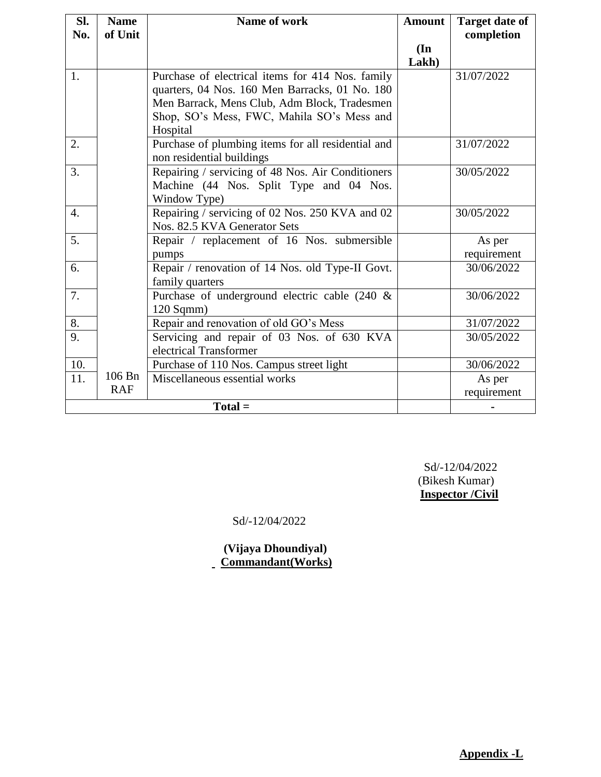| SI.              | <b>Name</b> | Name of work                                       | <b>Amount</b>            | <b>Target date of</b> |  |  |  |
|------------------|-------------|----------------------------------------------------|--------------------------|-----------------------|--|--|--|
| No.              | of Unit     |                                                    |                          | completion            |  |  |  |
|                  |             |                                                    | $(\mathbf{In})$<br>Lakh) |                       |  |  |  |
| 1.               |             |                                                    |                          | 31/07/2022            |  |  |  |
|                  |             | Purchase of electrical items for 414 Nos. family   |                          |                       |  |  |  |
|                  |             | quarters, 04 Nos. 160 Men Barracks, 01 No. 180     |                          |                       |  |  |  |
|                  |             | Men Barrack, Mens Club, Adm Block, Tradesmen       |                          |                       |  |  |  |
|                  |             | Shop, SO's Mess, FWC, Mahila SO's Mess and         |                          |                       |  |  |  |
|                  |             | Hospital                                           |                          |                       |  |  |  |
| 2.               |             | Purchase of plumbing items for all residential and |                          | 31/07/2022            |  |  |  |
|                  |             | non residential buildings                          |                          |                       |  |  |  |
| 3.               |             | Repairing / servicing of 48 Nos. Air Conditioners  |                          | 30/05/2022            |  |  |  |
|                  |             | Machine (44 Nos. Split Type and 04 Nos.            |                          |                       |  |  |  |
|                  |             | Window Type)                                       |                          |                       |  |  |  |
| $\overline{4}$ . |             | Repairing / servicing of 02 Nos. 250 KVA and 02    |                          | 30/05/2022            |  |  |  |
|                  |             | Nos. 82.5 KVA Generator Sets                       |                          |                       |  |  |  |
| 5.               |             | Repair / replacement of 16 Nos. submersible        |                          | As per                |  |  |  |
|                  |             | pumps                                              |                          | requirement           |  |  |  |
| 6.               |             | Repair / renovation of 14 Nos. old Type-II Govt.   |                          | 30/06/2022            |  |  |  |
|                  |             | family quarters                                    |                          |                       |  |  |  |
| 7.               |             | Purchase of underground electric cable (240 &      |                          | 30/06/2022            |  |  |  |
|                  |             | $120$ Sqmm $)$                                     |                          |                       |  |  |  |
| 8.               |             | Repair and renovation of old GO's Mess             |                          | 31/07/2022            |  |  |  |
| 9.               |             | Servicing and repair of 03 Nos. of 630 KVA         |                          | 30/05/2022            |  |  |  |
|                  |             | electrical Transformer                             |                          |                       |  |  |  |
| 10.              |             | Purchase of 110 Nos. Campus street light           |                          | 30/06/2022            |  |  |  |
| 11.              | 106 Bn      | Miscellaneous essential works                      |                          | As per                |  |  |  |
|                  | <b>RAF</b>  |                                                    |                          | requirement           |  |  |  |
|                  | $Total =$   |                                                    |                          |                       |  |  |  |

Sd/-12/04/2022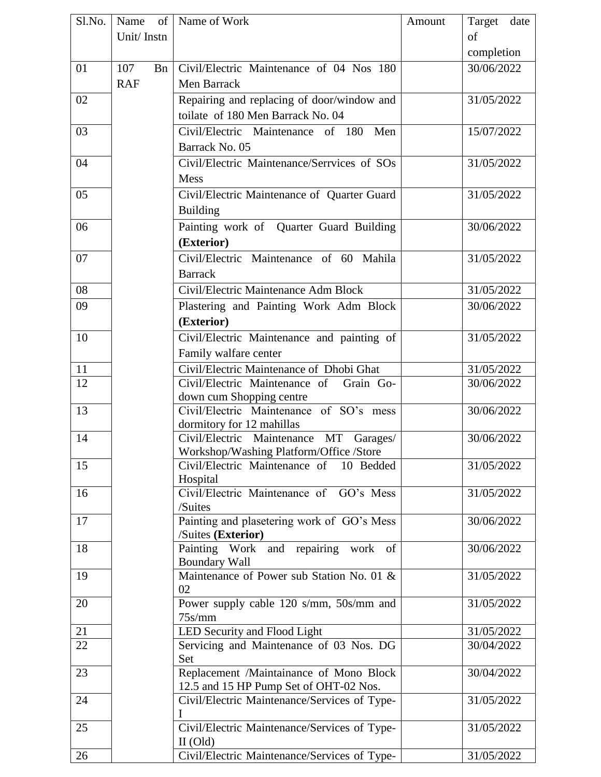| S1.No. |            |    | Name of Name of Work                                                      | Amount | Target date |  |
|--------|------------|----|---------------------------------------------------------------------------|--------|-------------|--|
|        | Unit/Instn |    |                                                                           |        | of          |  |
|        |            |    |                                                                           |        | completion  |  |
| 01     | 107        | Bn | Civil/Electric Maintenance of 04 Nos 180                                  |        | 30/06/2022  |  |
|        | <b>RAF</b> |    | Men Barrack                                                               |        |             |  |
| 02     |            |    | Repairing and replacing of door/window and                                |        | 31/05/2022  |  |
|        |            |    |                                                                           |        |             |  |
|        |            |    | toilate of 180 Men Barrack No. 04                                         |        |             |  |
| 03     |            |    | Civil/Electric Maintenance of 180<br>Men                                  |        | 15/07/2022  |  |
|        |            |    | Barrack No. 05                                                            |        |             |  |
| 04     |            |    | Civil/Electric Maintenance/Serrvices of SOs                               |        | 31/05/2022  |  |
|        |            |    | <b>Mess</b>                                                               |        |             |  |
| 05     |            |    | Civil/Electric Maintenance of Quarter Guard                               |        | 31/05/2022  |  |
|        |            |    | <b>Building</b>                                                           |        |             |  |
| 06     |            |    | Painting work of Quarter Guard Building                                   |        | 30/06/2022  |  |
|        |            |    | (Exterior)                                                                |        |             |  |
| 07     |            |    | Civil/Electric Maintenance of 60 Mahila                                   |        | 31/05/2022  |  |
|        |            |    | <b>Barrack</b>                                                            |        |             |  |
| 08     |            |    | Civil/Electric Maintenance Adm Block                                      |        | 31/05/2022  |  |
| 09     |            |    | Plastering and Painting Work Adm Block                                    |        | 30/06/2022  |  |
|        |            |    |                                                                           |        |             |  |
|        |            |    | (Exterior)                                                                |        |             |  |
| 10     |            |    | Civil/Electric Maintenance and painting of                                |        | 31/05/2022  |  |
|        |            |    | Family walfare center                                                     |        |             |  |
| 11     |            |    | Civil/Electric Maintenance of Dhobi Ghat                                  |        | 31/05/2022  |  |
| 12     |            |    | Civil/Electric Maintenance of Grain Go-                                   |        | 30/06/2022  |  |
|        |            |    | down cum Shopping centre                                                  |        |             |  |
| 13     |            |    | Civil/Electric Maintenance of SO's mess                                   |        | 30/06/2022  |  |
| 14     |            |    | dormitory for 12 mahillas<br>Civil/Electric Maintenance<br>MT<br>Garages/ |        | 30/06/2022  |  |
|        |            |    | Workshop/Washing Platform/Office /Store                                   |        |             |  |
| 15     |            |    | Civil/Electric Maintenance of 10 Bedded                                   |        | 31/05/2022  |  |
|        |            |    | Hospital                                                                  |        |             |  |
| 16     |            |    | Civil/Electric Maintenance of GO's Mess                                   |        | 31/05/2022  |  |
|        |            |    | /Suites                                                                   |        |             |  |
| 17     |            |    | Painting and plasetering work of GO's Mess                                |        | 30/06/2022  |  |
|        |            |    | /Suites (Exterior)                                                        |        |             |  |
| 18     |            |    | Painting Work and repairing work of                                       |        | 30/06/2022  |  |
|        |            |    | <b>Boundary Wall</b>                                                      |        |             |  |
| 19     |            |    | Maintenance of Power sub Station No. 01 &                                 |        | 31/05/2022  |  |
|        |            |    | 02                                                                        |        |             |  |
| 20     |            |    | Power supply cable 120 s/mm, 50s/mm and                                   |        | 31/05/2022  |  |
| 21     |            |    | $75$ s/mm<br>LED Security and Flood Light                                 |        | 31/05/2022  |  |
| 22     |            |    | Servicing and Maintenance of 03 Nos. DG                                   |        | 30/04/2022  |  |
|        |            |    | Set                                                                       |        |             |  |
| 23     |            |    | Replacement /Maintainance of Mono Block                                   |        | 30/04/2022  |  |
|        |            |    | 12.5 and 15 HP Pump Set of OHT-02 Nos.                                    |        |             |  |
| 24     |            |    | Civil/Electric Maintenance/Services of Type-                              |        | 31/05/2022  |  |
|        |            |    |                                                                           |        |             |  |
| 25     |            |    | Civil/Electric Maintenance/Services of Type-                              |        | 31/05/2022  |  |
|        |            |    | $II$ (Old)                                                                |        |             |  |
| 26     |            |    | Civil/Electric Maintenance/Services of Type-                              |        | 31/05/2022  |  |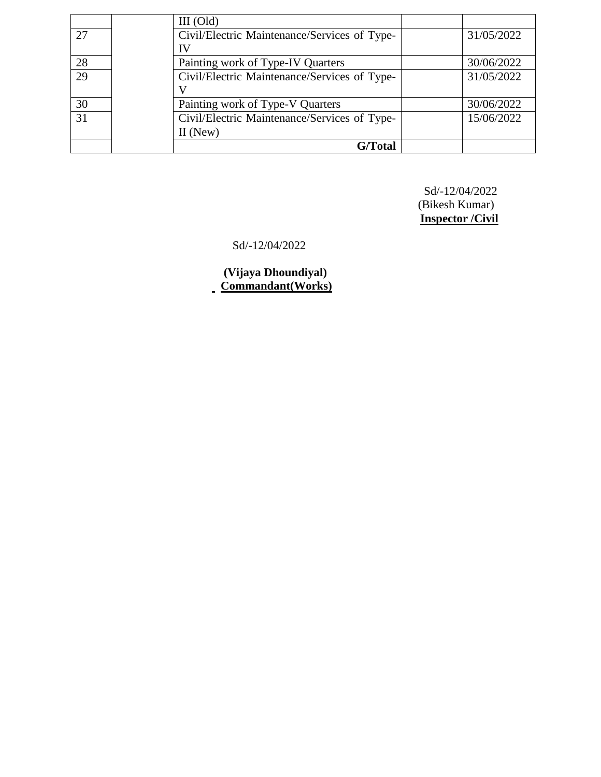|    | $III$ (Old) |                                              |            |
|----|-------------|----------------------------------------------|------------|
| 27 |             | Civil/Electric Maintenance/Services of Type- | 31/05/2022 |
|    | ΙV          |                                              |            |
| 28 |             | Painting work of Type-IV Quarters            | 30/06/2022 |
| 29 |             | Civil/Electric Maintenance/Services of Type- | 31/05/2022 |
|    |             |                                              |            |
| 30 |             | Painting work of Type-V Quarters             | 30/06/2022 |
| 31 |             | Civil/Electric Maintenance/Services of Type- | 15/06/2022 |
|    | $II$ (New)  |                                              |            |
|    |             | G/Total                                      |            |

Sd/-12/04/2022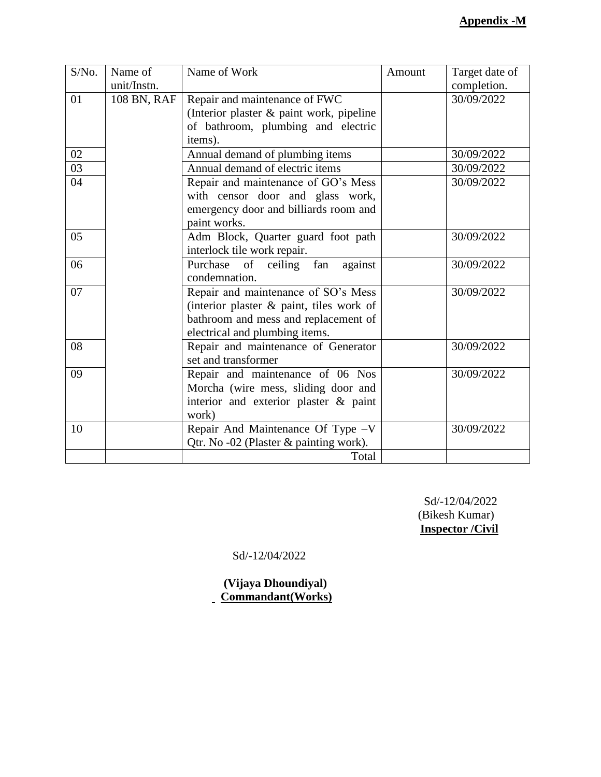| S/No. | Name of<br>unit/Instn. | Name of Work                             | Amount | Target date of<br>completion. |
|-------|------------------------|------------------------------------------|--------|-------------------------------|
| 01    | 108 BN, RAF            | Repair and maintenance of FWC            |        | 30/09/2022                    |
|       |                        | (Interior plaster & paint work, pipeline |        |                               |
|       |                        | of bathroom, plumbing and electric       |        |                               |
|       |                        | items).                                  |        |                               |
| 02    |                        | Annual demand of plumbing items          |        | 30/09/2022                    |
| 03    |                        | Annual demand of electric items          |        | 30/09/2022                    |
| 04    |                        | Repair and maintenance of GO's Mess      |        | 30/09/2022                    |
|       |                        | with censor door and glass work,         |        |                               |
|       |                        | emergency door and billiards room and    |        |                               |
|       |                        | paint works.                             |        |                               |
| 05    |                        | Adm Block, Quarter guard foot path       |        | 30/09/2022                    |
|       |                        | interlock tile work repair.              |        |                               |
| 06    |                        | Purchase of ceiling fan against          |        | 30/09/2022                    |
|       |                        | condemnation.                            |        |                               |
| 07    |                        | Repair and maintenance of SO's Mess      |        | 30/09/2022                    |
|       |                        | (interior plaster & paint, tiles work of |        |                               |
|       |                        | bathroom and mess and replacement of     |        |                               |
|       |                        | electrical and plumbing items.           |        |                               |
| 08    |                        | Repair and maintenance of Generator      |        | 30/09/2022                    |
|       |                        | set and transformer                      |        |                               |
| 09    |                        | Repair and maintenance of 06 Nos         |        | 30/09/2022                    |
|       |                        | Morcha (wire mess, sliding door and      |        |                               |
|       |                        | interior and exterior plaster & paint    |        |                               |
|       |                        | work)                                    |        |                               |
| 10    |                        | Repair And Maintenance Of Type -V        |        | 30/09/2022                    |
|       |                        | Qtr. No -02 (Plaster & painting work).   |        |                               |
|       |                        | Total                                    |        |                               |

Sd/-12/04/2022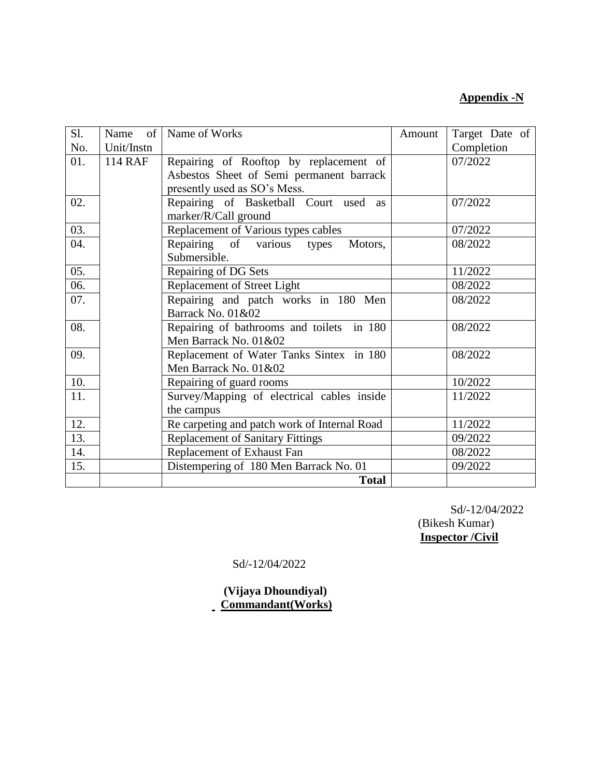#### **Appendix -N**

| Sl. | Name       | of   Name of Works                              | Amount | Target Date of |
|-----|------------|-------------------------------------------------|--------|----------------|
| No. | Unit/Instn |                                                 |        | Completion     |
| 01. | 114 RAF    | Repairing of Rooftop by replacement of          |        | 07/2022        |
|     |            | Asbestos Sheet of Semi permanent barrack        |        |                |
|     |            | presently used as SO's Mess.                    |        |                |
| 02. |            | Repairing of Basketball Court used<br><b>as</b> |        | 07/2022        |
|     |            | marker/R/Call ground                            |        |                |
| 03. |            | Replacement of Various types cables             |        | 07/2022        |
| 04. |            | Repairing of various types<br>Motors,           |        | 08/2022        |
|     |            | Submersible.                                    |        |                |
| 05. |            | Repairing of DG Sets                            |        | 11/2022        |
| 06. |            | Replacement of Street Light                     |        | 08/2022        |
| 07. |            | Repairing and patch works in 180 Men            |        | 08/2022        |
|     |            | Barrack No. 01&02                               |        |                |
| 08. |            | Repairing of bathrooms and toilets in 180       |        | 08/2022        |
|     |            | Men Barrack No. 01&02                           |        |                |
| 09. |            | Replacement of Water Tanks Sintex in 180        |        | 08/2022        |
|     |            | Men Barrack No. 01&02                           |        |                |
| 10. |            | Repairing of guard rooms                        |        | 10/2022        |
| 11. |            | Survey/Mapping of electrical cables inside      |        | 11/2022        |
|     |            | the campus                                      |        |                |
| 12. |            | Re carpeting and patch work of Internal Road    |        | 11/2022        |
| 13. |            | <b>Replacement of Sanitary Fittings</b>         |        | 09/2022        |
| 14. |            | Replacement of Exhaust Fan                      |        | 08/2022        |
| 15. |            | Distempering of 180 Men Barrack No. 01          |        | 09/2022        |
|     |            | <b>Total</b>                                    |        |                |

 Sd/-12/04/2022 (Bikesh Kumar) **Inspector /Civil**

Sd/-12/04/2022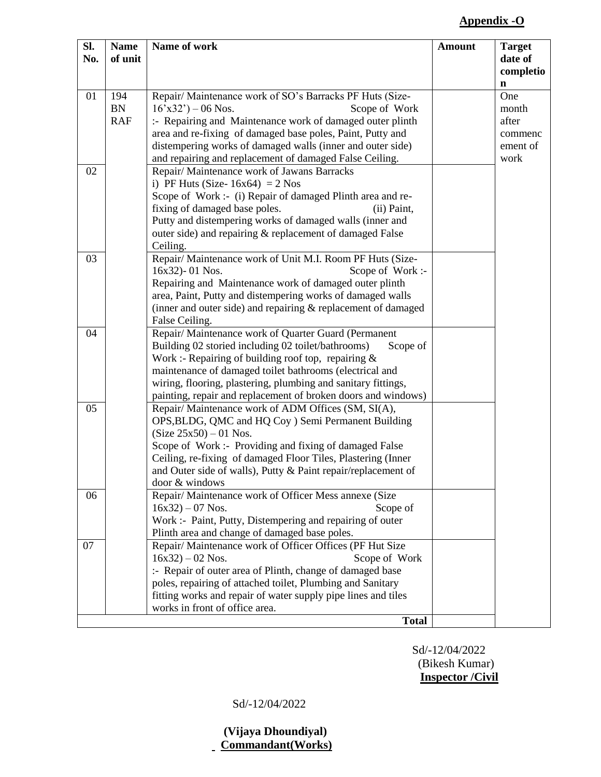### **Appendix -O**

| SI.<br>No. | <b>Name</b><br>of unit         | Name of work                                                                                                                                                                                                                                                                                                                                                                 | <b>Amount</b> | <b>Target</b><br>date of                             |
|------------|--------------------------------|------------------------------------------------------------------------------------------------------------------------------------------------------------------------------------------------------------------------------------------------------------------------------------------------------------------------------------------------------------------------------|---------------|------------------------------------------------------|
|            |                                |                                                                                                                                                                                                                                                                                                                                                                              |               | completio<br>$\mathbf n$                             |
| 01         | 194<br><b>BN</b><br><b>RAF</b> | Repair/ Maintenance work of SO's Barracks PF Huts (Size-<br>$16'x32'$ ) – 06 Nos.<br>Scope of Work<br>:- Repairing and Maintenance work of damaged outer plinth<br>area and re-fixing of damaged base poles, Paint, Putty and<br>distempering works of damaged walls (inner and outer side)<br>and repairing and replacement of damaged False Ceiling.                       |               | One<br>month<br>after<br>commenc<br>ement of<br>work |
| 02         |                                | Repair/ Maintenance work of Jawans Barracks<br>i) PF Huts (Size- $16x64$ ) = 2 Nos<br>Scope of Work :- (i) Repair of damaged Plinth area and re-<br>fixing of damaged base poles.<br>(ii) Paint,<br>Putty and distempering works of damaged walls (inner and<br>outer side) and repairing & replacement of damaged False<br>Ceiling.                                         |               |                                                      |
| 03         |                                | Repair/ Maintenance work of Unit M.I. Room PF Huts (Size-<br>16x32)-01 Nos.<br>Scope of Work :-<br>Repairing and Maintenance work of damaged outer plinth<br>area, Paint, Putty and distempering works of damaged walls<br>(inner and outer side) and repairing $&$ replacement of damaged<br>False Ceiling.                                                                 |               |                                                      |
| 04         |                                | Repair/Maintenance work of Quarter Guard (Permanent<br>Building 02 storied including 02 toilet/bathrooms)<br>Scope of<br>Work :- Repairing of building roof top, repairing $\&$<br>maintenance of damaged toilet bathrooms (electrical and<br>wiring, flooring, plastering, plumbing and sanitary fittings,<br>painting, repair and replacement of broken doors and windows) |               |                                                      |
| 05         |                                | Repair/ Maintenance work of ADM Offices (SM, SI(A),<br>OPS, BLDG, QMC and HQ Coy ) Semi Permanent Building<br>$(Size 25x50) - 01$ Nos.<br>Scope of Work :- Providing and fixing of damaged False<br>Ceiling, re-fixing of damaged Floor Tiles, Plastering (Inner<br>and Outer side of walls), Putty & Paint repair/replacement of<br>door & windows                          |               |                                                      |
| 06         |                                | Repair/Maintenance work of Officer Mess annexe (Size<br>$16x32 - 07$ Nos.<br>Scope of<br>Work :- Paint, Putty, Distempering and repairing of outer<br>Plinth area and change of damaged base poles.                                                                                                                                                                          |               |                                                      |
| 07         |                                | Repair/ Maintenance work of Officer Offices (PF Hut Size<br>$16x32 - 02$ Nos.<br>Scope of Work<br>:- Repair of outer area of Plinth, change of damaged base<br>poles, repairing of attached toilet, Plumbing and Sanitary<br>fitting works and repair of water supply pipe lines and tiles<br>works in front of office area.<br><b>Total</b>                                 |               |                                                      |

Sd/-12/04/2022 (Bikesh Kumar) **Inspector /Civil**

Sd/-12/04/2022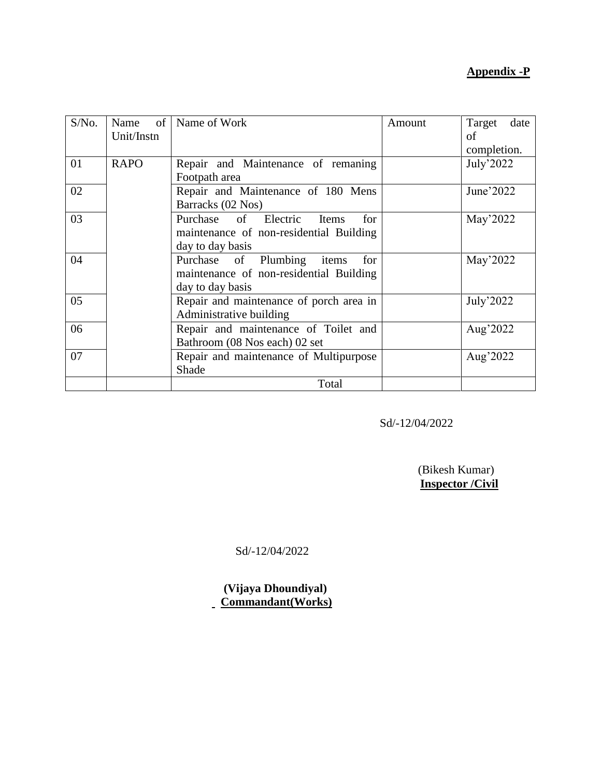### **Appendix -P**

| S/No. |             | Name of   Name of Work                  | Amount | Target<br>date |
|-------|-------------|-----------------------------------------|--------|----------------|
|       | Unit/Instn  |                                         |        | of             |
|       |             |                                         |        | completion.    |
| 01    | <b>RAPO</b> | Repair and Maintenance of remaning      |        | July'2022      |
|       |             | Footpath area                           |        |                |
| 02    |             | Repair and Maintenance of 180 Mens      |        | June'2022      |
|       |             | Barracks (02 Nos)                       |        |                |
| 03    |             | Purchase of Electric<br>for<br>Items    |        | May'2022       |
|       |             | maintenance of non-residential Building |        |                |
|       |             | day to day basis                        |        |                |
| 04    |             | Purchase of Plumbing<br>for<br>items    |        | May'2022       |
|       |             | maintenance of non-residential Building |        |                |
|       |             | day to day basis                        |        |                |
| 05    |             | Repair and maintenance of porch area in |        | July'2022      |
|       |             | Administrative building                 |        |                |
| 06    |             | Repair and maintenance of Toilet and    |        | Aug'2022       |
|       |             | Bathroom (08 Nos each) 02 set           |        |                |
| 07    |             | Repair and maintenance of Multipurpose  |        | Aug'2022       |
|       |             | Shade                                   |        |                |
|       |             | Total                                   |        |                |

Sd/-12/04/2022

 (Bikesh Kumar) **Inspector /Civil**

Sd/-12/04/2022